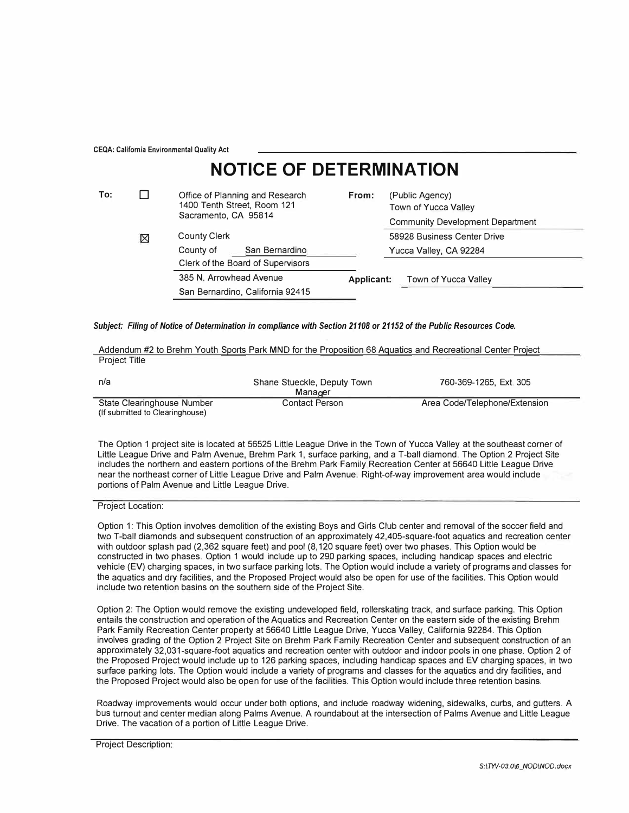CEQA: California Environmental Quality Act

## **NOTICE OF DETERMINATION**

| To: |   | Office of Planning and Research<br>1400 Tenth Street, Room 121 | From:      | (Public Agency)<br>Town of Yucca Valley<br><b>Community Development Department</b><br>58928 Business Center Drive |  |
|-----|---|----------------------------------------------------------------|------------|-------------------------------------------------------------------------------------------------------------------|--|
|     |   | Sacramento, CA 95814                                           |            |                                                                                                                   |  |
|     | ⊠ | <b>County Clerk</b>                                            |            |                                                                                                                   |  |
|     |   | San Bernardino<br>County of                                    |            | Yucca Valley, CA 92284                                                                                            |  |
|     |   | Clerk of the Board of Supervisors                              |            |                                                                                                                   |  |
|     |   | 385 N. Arrowhead Avenue                                        | Applicant: | Town of Yucca Valley                                                                                              |  |
|     |   | San Bernardino, California 92415                               |            |                                                                                                                   |  |

## *Subject: Filing of Notice of Determination in compliance with Section 21108 or 21152 of the Public Resources Code.*

| Addendum #2 to Brehm Youth Sports Park MND for the Proposition 68 Aguatics and Recreational Center Project |  |  |  |
|------------------------------------------------------------------------------------------------------------|--|--|--|
| <b>Project Title</b>                                                                                       |  |  |  |

| n/a                                                           | Shane Stueckle, Deputy Town<br>Manager | 760-369-1265, Ext. 305        |
|---------------------------------------------------------------|----------------------------------------|-------------------------------|
| State Clearinghouse Number<br>(If submitted to Clearinghouse) | Contact Person                         | Area Code/Telephone/Extension |

The Option 1 project site is located at 56525 Little League Drive in the Town of Yucca Valley at the southeast corner of Little League Drive and Palm Avenue, Brehm Park 1, surface parking, and a T-ball diamond. The Option 2 Project Site includes the northern and eastern portions of the Brehm Park Family Recreation Center at 56640 Little League Drive near the northeast corner of Little League Drive and Palm Avenue. Right-of-way improvement area would include portions of Palm Avenue and Little League Drive.

Project Location:

Option 1: This Option involves demolition of the existing Boys and Girls Club center and removal of the soccer field and two T-ball diamonds and subsequent construction of an approximately 42,405-square-foot aquatics and recreation center with outdoor splash pad {2,362 square feet) and pool (8,120 square feet) over two phases. This Option would be constructed in two phases. Option 1 would include up to 290 parking spaces, including handicap spaces and electric vehicle (EV) charging spaces, in two surface parking lots. The Option would include a variety of programs and classes for the aquatics and dry facilities, and the Proposed Project would also be open for use of the facilities. This Option would include two retention basins on the southern side of the Project Site.

Option 2: The Option would remove the existing undeveloped field, rollerskating track, and surface parking. This Option entails the construction and operation of the Aquatics and Recreation Center on the eastern side of the existing Brehm Park Family Recreation Center property at 56640 Little League Drive, Yucca Valley, California 92284. This Option involves grading of the Option 2 Project Site on Brehm Park Family Recreation Center and subsequent construction of an approximately 32,031-square-foot aquatics and recreation center with outdoor and indoor pools in one phase. Option 2 of the Proposed Project would include up to 126 parking spaces, including handicap spaces and EV charging spaces, in two surface parking lots. The Option would include a variety of programs and classes for the aquatics and dry facilities, and the Proposed Project would also be open for use of the facilities. This Option would include three retention basins.

Roadway improvements would occur under both options, and include roadway widening, sidewalks, curbs, and gutters. A bus turnout and center median along Palms Avenue. A roundabout at the intersection of Palms Avenue and Little League Drive. The vacation of a portion of Little League Drive.